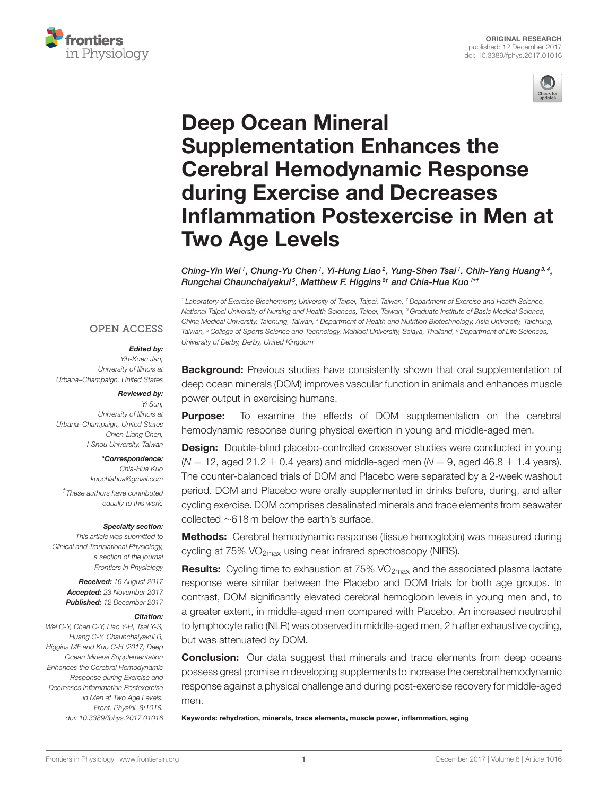



# Deep Ocean Mineral Supplementation Enhances the Cerebral Hemodynamic Response during Exercise and Decreases [Inflammation Postexercise in Men at](https://www.frontiersin.org/articles/10.3389/fphys.2017.01016/full) Two Age Levels

Ching-Yin Wei<sup>1</sup>, Chung-Yu Chen<sup>1</sup>, Yi-Hung Liao<sup>2</sup>, Yung-Shen Tsai<sup>1</sup>, Chih-Yang Huang<sup>3,4</sup>, Rungchai Chaunchaiyakul<sup>5</sup>, [Matthew F. Higgins](http://loop.frontiersin.org/people/486934/overview)<sup>6†</sup> and [Chia-Hua Kuo](http://loop.frontiersin.org/people/26069/overview)<sup>1\*†</sup>

*<sup>1</sup> Laboratory of Exercise Biochemistry, University of Taipei, Taipei, Taiwan, <sup>2</sup> Department of Exercise and Health Science, National Taipei University of Nursing and Health Sciences, Taipei, Taiwan, <sup>3</sup> Graduate Institute of Basic Medical Science, China Medical University, Taichung, Taiwan, <sup>4</sup> Department of Health and Nutrition Biotechnology, Asia University, Taichung, Taiwan, <sup>5</sup> College of Sports Science and Technology, Mahidol University, Salaya, Thailand, <sup>6</sup> Department of Life Sciences, University of Derby, Derby, United Kingdom*

## **OPEN ACCESS**

#### Edited by:

*Yih-Kuen Jan, University of Illinois at Urbana–Champaign, United States*

#### Reviewed by:

*Yi Sun, University of Illinois at Urbana–Champaign, United States Chien-Liang Chen, I-Shou University, Taiwan*

#### \*Correspondence:

*Chia-Hua Kuo [kuochiahua@gmail.com](mailto:kuochiahua@gmail.com)*

*† These authors have contributed equally to this work.*

#### Specialty section:

*This article was submitted to Clinical and Translational Physiology, a section of the journal Frontiers in Physiology*

> Received: *16 August 2017* Accepted: *23 November 2017* Published: *12 December 2017*

#### Citation:

*Wei C-Y, Chen C-Y, Liao Y-H, Tsai Y-S, Huang C-Y, Chaunchaiyakul R, Higgins MF and Kuo C-H (2017) Deep Ocean Mineral Supplementation Enhances the Cerebral Hemodynamic Response during Exercise and Decreases Inflammation Postexercise in Men at Two Age Levels. Front. Physiol. 8:1016. doi: [10.3389/fphys.2017.01016](https://doi.org/10.3389/fphys.2017.01016)*

**Background:** Previous studies have consistently shown that oral supplementation of deep ocean minerals (DOM) improves vascular function in animals and enhances muscle power output in exercising humans.

**Purpose:** To examine the effects of DOM supplementation on the cerebral hemodynamic response during physical exertion in young and middle-aged men.

**Design:** Double-blind placebo-controlled crossover studies were conducted in young  $(N = 12, \text{ aged } 21.2 \pm 0.4 \text{ years})$  and middle-aged men  $(N = 9, \text{ aged } 46.8 \pm 1.4 \text{ years})$ . The counter-balanced trials of DOM and Placebo were separated by a 2-week washout period. DOM and Placebo were orally supplemented in drinks before, during, and after cycling exercise. DOM comprises desalinated minerals and trace elements from seawater collected ∼618 m below the earth's surface.

Methods: Cerebral hemodynamic response (tissue hemoglobin) was measured during cycling at 75% VO<sub>2max</sub> using near infrared spectroscopy (NIRS).

**Results:** Cycling time to exhaustion at  $75\%$  VO<sub>2max</sub> and the associated plasma lactate response were similar between the Placebo and DOM trials for both age groups. In contrast, DOM significantly elevated cerebral hemoglobin levels in young men and, to a greater extent, in middle-aged men compared with Placebo. An increased neutrophil to lymphocyte ratio (NLR) was observed in middle-aged men, 2 h after exhaustive cycling, but was attenuated by DOM.

**Conclusion:** Our data suggest that minerals and trace elements from deep oceans possess great promise in developing supplements to increase the cerebral hemodynamic response against a physical challenge and during post-exercise recovery for middle-aged men.

Keywords: rehydration, minerals, trace elements, muscle power, inflammation, aging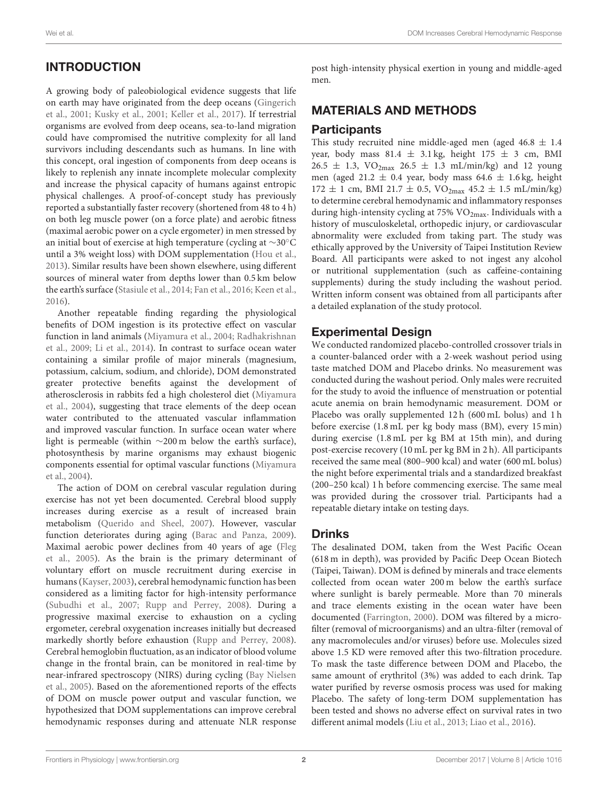# INTRODUCTION

A growing body of paleobiological evidence suggests that life on earth may have originated from the deep oceans (Gingerich et al., [2001;](#page-5-0) [Kusky et al., 2001;](#page-5-1) [Keller et al., 2017\)](#page-5-2). If terrestrial organisms are evolved from deep oceans, sea-to-land migration could have compromised the nutritive complexity for all land survivors including descendants such as humans. In line with this concept, oral ingestion of components from deep oceans is likely to replenish any innate incomplete molecular complexity and increase the physical capacity of humans against entropic physical challenges. A proof-of-concept study has previously reported a substantially faster recovery (shortened from 48 to 4 h) on both leg muscle power (on a force plate) and aerobic fitness (maximal aerobic power on a cycle ergometer) in men stressed by an initial bout of exercise at high temperature (cycling at ∼30◦C until a 3% weight loss) with DOM supplementation [\(Hou et al.,](#page-5-3) [2013\)](#page-5-3). Similar results have been shown elsewhere, using different sources of mineral water from depths lower than 0.5 km below the earth's surface [\(Stasiule et al., 2014;](#page-5-4) [Fan et al., 2016;](#page-5-5) [Keen et al.,](#page-5-6) [2016\)](#page-5-6).

Another repeatable finding regarding the physiological benefits of DOM ingestion is its protective effect on vascular function in land animals [\(Miyamura et al., 2004;](#page-5-7) Radhakrishnan et al., [2009;](#page-5-8) [Li et al., 2014\)](#page-5-9). In contrast to surface ocean water containing a similar profile of major minerals (magnesium, potassium, calcium, sodium, and chloride), DOM demonstrated greater protective benefits against the development of ather[osclerosis in rabbits fed a high cholesterol diet \(](#page-5-7)Miyamura et al., [2004\)](#page-5-7), suggesting that trace elements of the deep ocean water contributed to the attenuated vascular inflammation and improved vascular function. In surface ocean water where light is permeable (within ∼200 m below the earth's surface), photosynthesis by marine organisms may exhaust biogenic components essential for optimal vascular functions (Miyamura et al., [2004\)](#page-5-7).

The action of DOM on cerebral vascular regulation during exercise has not yet been documented. Cerebral blood supply increases during exercise as a result of increased brain metabolism [\(Querido and Sheel, 2007\)](#page-5-10). However, vascular function deteriorates during aging [\(Barac and Panza, 2009\)](#page-5-11). Maximal aerobic power declines from 40 years of age (Fleg et al., [2005\)](#page-5-12). As the brain is the primary determinant of voluntary effort on muscle recruitment during exercise in humans [\(Kayser, 2003\)](#page-5-13), cerebral hemodynamic function has been considered as a limiting factor for high-intensity performance [\(Subudhi et al., 2007;](#page-5-14) [Rupp and Perrey, 2008\)](#page-5-15). During a progressive maximal exercise to exhaustion on a cycling ergometer, cerebral oxygenation increases initially but decreased markedly shortly before exhaustion [\(Rupp and Perrey, 2008\)](#page-5-15). Cerebral hemoglobin fluctuation, as an indicator of blood volume change in the frontal brain, can be monitored in real-time by near-infrared spectroscopy (NIRS) during cycling (Bay Nielsen et al., [2005\)](#page-5-16). Based on the aforementioned reports of the effects of DOM on muscle power output and vascular function, we hypothesized that DOM supplementations can improve cerebral hemodynamic responses during and attenuate NLR response post high-intensity physical exertion in young and middle-aged men.

# MATERIALS AND METHODS

### **Participants**

This study recruited nine middle-aged men (aged  $46.8 \pm 1.4$ year, body mass 81.4  $\pm$  3.1 kg, height 175  $\pm$  3 cm, BMI  $26.5 \pm 1.3$ ,  $VO_{2max}$   $26.5 \pm 1.3$  mL/min/kg) and 12 young men (aged 21.2  $\pm$  0.4 year, body mass 64.6  $\pm$  1.6 kg, height  $172 \pm 1$  cm, BMI 21.7  $\pm$  0.5, VO<sub>2max</sub> 45.2  $\pm$  1.5 mL/min/kg) to determine cerebral hemodynamic and inflammatory responses during high-intensity cycling at 75% VO<sub>2max</sub>. Individuals with a history of musculoskeletal, orthopedic injury, or cardiovascular abnormality were excluded from taking part. The study was ethically approved by the University of Taipei Institution Review Board. All participants were asked to not ingest any alcohol or nutritional supplementation (such as caffeine-containing supplements) during the study including the washout period. Written inform consent was obtained from all participants after a detailed explanation of the study protocol.

# Experimental Design

We conducted randomized placebo-controlled crossover trials in a counter-balanced order with a 2-week washout period using taste matched DOM and Placebo drinks. No measurement was conducted during the washout period. Only males were recruited for the study to avoid the influence of menstruation or potential acute anemia on brain hemodynamic measurement. DOM or Placebo was orally supplemented 12 h (600 mL bolus) and 1 h before exercise (1.8 mL per kg body mass (BM), every 15 min) during exercise (1.8 mL per kg BM at 15th min), and during post-exercise recovery (10 mL per kg BM in 2 h). All participants received the same meal (800–900 kcal) and water (600 mL bolus) the night before experimental trials and a standardized breakfast (200–250 kcal) 1 h before commencing exercise. The same meal was provided during the crossover trial. Participants had a repeatable dietary intake on testing days.

# Drinks

The desalinated DOM, taken from the West Pacific Ocean (618 m in depth), was provided by Pacific Deep Ocean Biotech (Taipei, Taiwan). DOM is defined by minerals and trace elements collected from ocean water 200 m below the earth's surface where sunlight is barely permeable. More than 70 minerals and trace elements existing in the ocean water have been documented [\(Farrington, 2000\)](#page-5-17). DOM was filtered by a microfilter (removal of microorganisms) and an ultra-filter (removal of any macromolecules and/or viruses) before use. Molecules sized above 1.5 KD were removed after this two-filtration procedure. To mask the taste difference between DOM and Placebo, the same amount of erythritol (3%) was added to each drink. Tap water purified by reverse osmosis process was used for making Placebo. The safety of long-term DOM supplementation has been tested and shows no adverse effect on survival rates in two different animal models [\(Liu et al., 2013;](#page-5-18) [Liao et al., 2016\)](#page-5-19).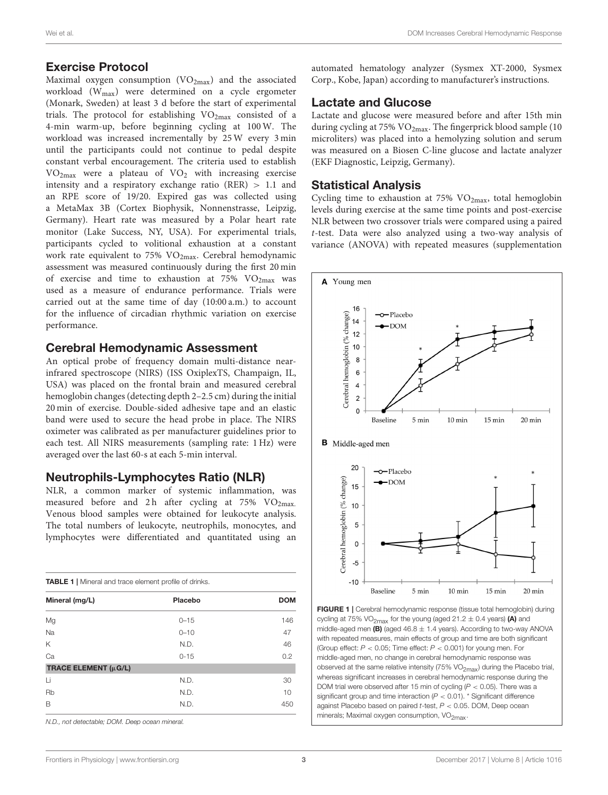#### Exercise Protocol

Maximal oxygen consumption  $(VO_{2max})$  and the associated workload (Wmax) were determined on a cycle ergometer (Monark, Sweden) at least 3 d before the start of experimental trials. The protocol for establishing  $VO<sub>2max</sub>$  consisted of a 4-min warm-up, before beginning cycling at 100 W. The workload was increased incrementally by 25 W every 3 min until the participants could not continue to pedal despite constant verbal encouragement. The criteria used to establish VO2max were a plateau of VO<sup>2</sup> with increasing exercise intensity and a respiratory exchange ratio (RER) > 1.1 and an RPE score of 19/20. Expired gas was collected using a MetaMax 3B (Cortex Biophysik, Nonnenstrasse, Leipzig, Germany). Heart rate was measured by a Polar heart rate monitor (Lake Success, NY, USA). For experimental trials, participants cycled to volitional exhaustion at a constant work rate equivalent to 75% VO2max. Cerebral hemodynamic assessment was measured continuously during the first 20 min of exercise and time to exhaustion at  $75\%$  VO<sub>2max</sub> was used as a measure of endurance performance. Trials were carried out at the same time of day (10:00 a.m.) to account for the influence of circadian rhythmic variation on exercise performance.

#### Cerebral Hemodynamic Assessment

An optical probe of frequency domain multi-distance nearinfrared spectroscope (NIRS) (ISS OxiplexTS, Champaign, IL, USA) was placed on the frontal brain and measured cerebral hemoglobin changes (detecting depth 2–2.5 cm) during the initial 20 min of exercise. Double-sided adhesive tape and an elastic band were used to secure the head probe in place. The NIRS oximeter was calibrated as per manufacturer guidelines prior to each test. All NIRS measurements (sampling rate: 1 Hz) were averaged over the last 60-s at each 5-min interval.

#### Neutrophils-Lymphocytes Ratio (NLR)

NLR, a common marker of systemic inflammation, was measured before and 2 h after cycling at  $75\%$  VO<sub>2max</sub>. Venous blood samples were obtained for leukocyte analysis. The total numbers of leukocyte, neutrophils, monocytes, and lymphocytes were differentiated and quantitated using an

<span id="page-2-0"></span>

| <b>TABLE 1</b>   Mineral and trace element profile of drinks. |          |            |  |  |  |  |
|---------------------------------------------------------------|----------|------------|--|--|--|--|
| Mineral (mg/L)                                                | Placebo  | <b>DOM</b> |  |  |  |  |
| Mg                                                            | $0 - 15$ | 146        |  |  |  |  |
| Na                                                            | $0 - 10$ | 47         |  |  |  |  |
| K                                                             | N.D.     | 46         |  |  |  |  |
| Ca                                                            | $0 - 15$ | 0.2        |  |  |  |  |
| TRACE ELEMENT (µG/L)                                          |          |            |  |  |  |  |
| Li                                                            | N.D.     | 30         |  |  |  |  |
| Rb                                                            | N.D.     | 10         |  |  |  |  |
| B                                                             | N.D.     | 450        |  |  |  |  |

*N.D., not detectable; DOM. Deep ocean mineral.*

automated hematology analyzer (Sysmex XT-2000, Sysmex Corp., Kobe, Japan) according to manufacturer's instructions.

#### Lactate and Glucose

Lactate and glucose were measured before and after 15th min during cycling at 75% VO2max. The fingerprick blood sample (10 microliters) was placed into a hemolyzing solution and serum was measured on a Biosen C-line glucose and lactate analyzer (EKF Diagnostic, Leipzig, Germany).

#### Statistical Analysis

Cycling time to exhaustion at 75%  $VO<sub>2max</sub>$ , total hemoglobin levels during exercise at the same time points and post-exercise NLR between two crossover trials were compared using a paired t-test. Data were also analyzed using a two-way analysis of variance (ANOVA) with repeated measures (supplementation



<span id="page-2-1"></span>FIGURE 1 | Cerebral hemodynamic response (tissue total hemoglobin) during cycling at 75% VO<sub>2max</sub> for the young (aged 21.2  $\pm$  0.4 years) (A) and middle-aged men  $(B)$  (aged 46.8  $\pm$  1.4 years). According to two-way ANOVA with repeated measures, main effects of group and time are both significant (Group effect: *P* < 0.05; Time effect: *P* < 0.001) for young men. For middle-aged men, no change in cerebral hemodynamic response was observed at the same relative intensity (75% VO<sub>2max</sub>) during the Placebo trial, whereas significant increases in cerebral hemodynamic response during the DOM trial were observed after 15 min of cycling (*P* < 0.05). There was a significant group and time interaction  $(P < 0.01)$ . \* Significant difference against Placebo based on paired *t*-test, *P* < 0.05. DOM, Deep ocean minerals; Maximal oxygen consumption, VO<sub>2max</sub>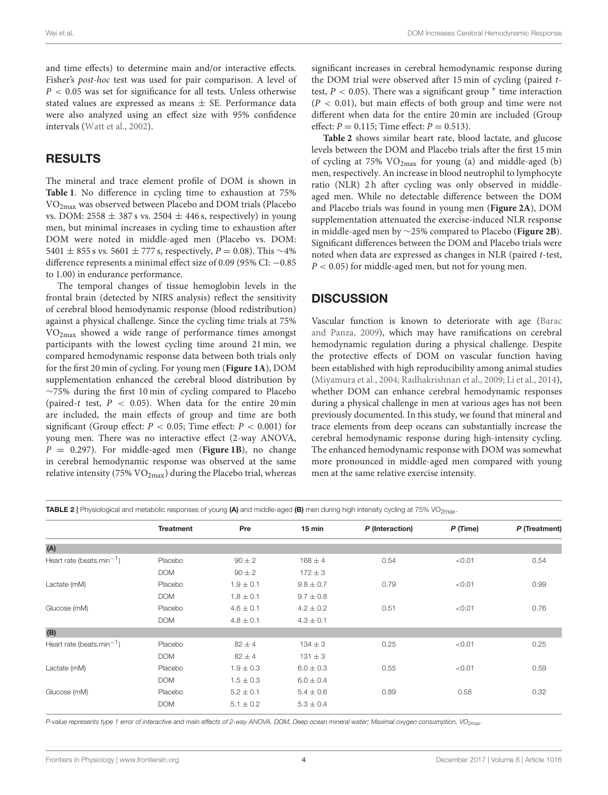and time effects) to determine main and/or interactive effects. Fisher's post-hoc test was used for pair comparison. A level of  $P < 0.05$  was set for significance for all tests. Unless otherwise stated values are expressed as means  $\pm$  SE. Performance data were also analyzed using an effect size with 95% confidence intervals [\(Watt et al., 2002\)](#page-5-20).

## RESULTS

The mineral and trace element profile of DOM is shown in **[Table 1](#page-2-0)**. No difference in cycling time to exhaustion at 75% VO2max was observed between Placebo and DOM trials (Placebo vs. DOM:  $2558 \pm 387$  s vs.  $2504 \pm 446$  s, respectively) in young men, but minimal increases in cycling time to exhaustion after DOM were noted in middle-aged men (Placebo vs. DOM: 5401 ± 855 s vs. 5601 ± 777 s, respectively,  $P = 0.08$ ). This ∼4% difference represents a minimal effect size of 0.09 (95% CI: −0.85 to 1.00) in endurance performance.

The temporal changes of tissue hemoglobin levels in the frontal brain (detected by NIRS analysis) reflect the sensitivity of cerebral blood hemodynamic response (blood redistribution) against a physical challenge. Since the cycling time trials at 75% VO2max showed a wide range of performance times amongst participants with the lowest cycling time around 21 min, we compared hemodynamic response data between both trials only for the first 20 min of cycling. For young men (**[Figure 1A](#page-2-1)**), DOM supplementation enhanced the cerebral blood distribution by ∼75% during the first 10 min of cycling compared to Placebo (paired-t test,  $P < 0.05$ ). When data for the entire 20 min are included, the main effects of group and time are both significant (Group effect:  $P < 0.05$ ; Time effect:  $P < 0.001$ ) for young men. There was no interactive effect (2-way ANOVA,  $P = 0.297$ ). For middle-aged men (**[Figure 1B](#page-2-1)**), no change in cerebral hemodynamic response was observed at the same relative intensity (75%  $VO<sub>2max</sub>$ ) during the Placebo trial, whereas significant increases in cerebral hemodynamic response during the DOM trial were observed after 15 min of cycling (paired ttest,  $P < 0.05$ ). There was a significant group  $*$  time interaction  $(P < 0.01)$ , but main effects of both group and time were not different when data for the entire 20 min are included (Group effect:  $P = 0.115$ ; Time effect:  $P = 0.513$ ).

**[Table 2](#page-3-0)** shows similar heart rate, blood lactate, and glucose levels between the DOM and Placebo trials after the first 15 min of cycling at 75%  $VO<sub>2max</sub>$  for young (a) and middle-aged (b) men, respectively. An increase in blood neutrophil to lymphocyte ratio (NLR) 2h after cycling was only observed in middleaged men. While no detectable difference between the DOM and Placebo trials was found in young men (**[Figure 2A](#page-4-0)**), DOM supplementation attenuated the exercise-induced NLR response in middle-aged men by ∼25% compared to Placebo (**[Figure 2B](#page-4-0)**). Significant differences between the DOM and Placebo trials were noted when data are expressed as changes in NLR (paired t-test,  $P < 0.05$ ) for middle-aged men, but not for young men.

#### **DISCUSSION**

Vascular function is known to deteriorate with age (Barac and Panza, [2009\)](#page-5-11), which may have ramifications on cerebral hemodynamic regulation during a physical challenge. Despite the protective effects of DOM on vascular function having been established with high reproducibility among animal studies [\(Miyamura et al., 2004;](#page-5-7) [Radhakrishnan et al., 2009;](#page-5-8) [Li et al., 2014\)](#page-5-9), whether DOM can enhance cerebral hemodynamic responses during a physical challenge in men at various ages has not been previously documented. In this study, we found that mineral and trace elements from deep oceans can substantially increase the cerebral hemodynamic response during high-intensity cycling. The enhanced hemodynamic response with DOM was somewhat more pronounced in middle-aged men compared with young men at the same relative exercise intensity.

<span id="page-3-0"></span>TABLE 2 | Physiological and metabolic responses of young (A) and middle-aged (B) men during high intensity cycling at 75% VO<sub>2max</sub>.

|                                       | <b>Treatment</b> | Pre           | 15 min        | P (Interaction) | P (Time) | P (Treatment) |
|---------------------------------------|------------------|---------------|---------------|-----------------|----------|---------------|
| (A)                                   |                  |               |               |                 |          |               |
| Heart rate (beats.min <sup>-1</sup> ) | Placebo          | $90 \pm 2$    | $168 \pm 4$   | 0.54            | < 0.01   | 0.54          |
|                                       | <b>DOM</b>       | $90 \pm 2$    | $172 \pm 3$   |                 |          |               |
| Lactate (mM)                          | Placebo          | $1.9 \pm 0.1$ | $9.8 \pm 0.7$ | 0.79            | < 0.01   | 0.99          |
|                                       | <b>DOM</b>       | $1.8 \pm 0.1$ | $9.7 \pm 0.8$ |                 |          |               |
| Glucose (mM)                          | Placebo          | $4.6 \pm 0.1$ | $4.2 \pm 0.2$ | 0.51            | < 0.01   | 0.76          |
|                                       | <b>DOM</b>       | $4.8 \pm 0.1$ | $4.3 \pm 0.1$ |                 |          |               |
| (B)                                   |                  |               |               |                 |          |               |
| Heart rate (beats.min <sup>-1</sup> ) | Placebo          | $82 \pm 4$    | $134 \pm 3$   | 0.25            | < 0.01   | 0.25          |
|                                       | <b>DOM</b>       | $82 \pm 4$    | $131 \pm 3$   |                 |          |               |
| Lactate (mM)                          | Placebo          | $1.9 \pm 0.3$ | $6.0 \pm 0.3$ | 0.55            | < 0.01   | 0.59          |
|                                       | <b>DOM</b>       | $1.5 \pm 0.3$ | $6.0 \pm 0.4$ |                 |          |               |
| Glucose (mM)                          | Placebo          | $5.2 \pm 0.1$ | $5.4 \pm 0.6$ | 0.89            | 0.58     | 0.32          |
|                                       | <b>DOM</b>       | $5.1 \pm 0.2$ | $5.3 \pm 0.4$ |                 |          |               |
|                                       |                  |               |               |                 |          |               |

P-value represents type 1 error of interactive and main effects of 2-way ANOVA. DOM, Deep ocean mineral water; Maximal oxygen consumption, VO<sub>2max</sub>.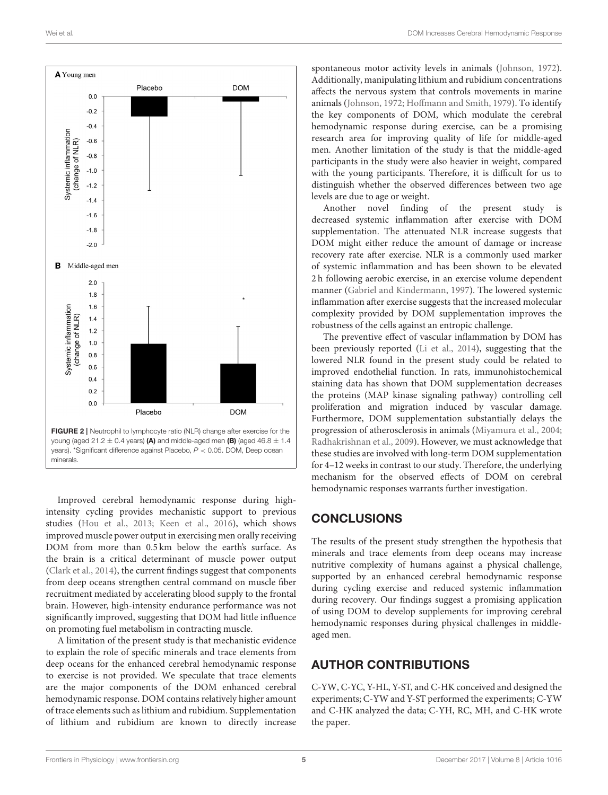

<span id="page-4-0"></span>Improved cerebral hemodynamic response during highintensity cycling provides mechanistic support to previous studies [\(Hou et al., 2013;](#page-5-3) [Keen et al., 2016\)](#page-5-6), which shows improved muscle power output in exercising men orally receiving DOM from more than 0.5 km below the earth's surface. As the brain is a critical determinant of muscle power output [\(Clark et al., 2014\)](#page-5-21), the current findings suggest that components from deep oceans strengthen central command on muscle fiber recruitment mediated by accelerating blood supply to the frontal brain. However, high-intensity endurance performance was not significantly improved, suggesting that DOM had little influence on promoting fuel metabolism in contracting muscle.

A limitation of the present study is that mechanistic evidence to explain the role of specific minerals and trace elements from deep oceans for the enhanced cerebral hemodynamic response to exercise is not provided. We speculate that trace elements are the major components of the DOM enhanced cerebral hemodynamic response. DOM contains relatively higher amount of trace elements such as lithium and rubidium. Supplementation of lithium and rubidium are known to directly increase

spontaneous motor activity levels in animals [\(Johnson, 1972\)](#page-5-22). Additionally, manipulating lithium and rubidium concentrations affects the nervous system that controls movements in marine animals [\(Johnson, 1972;](#page-5-22) [Hoffmann and Smith, 1979\)](#page-5-23). To identify the key components of DOM, which modulate the cerebral hemodynamic response during exercise, can be a promising research area for improving quality of life for middle-aged men. Another limitation of the study is that the middle-aged participants in the study were also heavier in weight, compared with the young participants. Therefore, it is difficult for us to distinguish whether the observed differences between two age levels are due to age or weight.

Another novel finding of the present study is decreased systemic inflammation after exercise with DOM supplementation. The attenuated NLR increase suggests that DOM might either reduce the amount of damage or increase recovery rate after exercise. NLR is a commonly used marker of systemic inflammation and has been shown to be elevated 2 h following aerobic exercise, in an exercise volume dependent manner [\(Gabriel and Kindermann, 1997\)](#page-5-24). The lowered systemic inflammation after exercise suggests that the increased molecular complexity provided by DOM supplementation improves the robustness of the cells against an entropic challenge.

The preventive effect of vascular inflammation by DOM has been previously reported [\(Li et al., 2014\)](#page-5-9), suggesting that the lowered NLR found in the present study could be related to improved endothelial function. In rats, immunohistochemical staining data has shown that DOM supplementation decreases the proteins (MAP kinase signaling pathway) controlling cell proliferation and migration induced by vascular damage. Furthermore, DOM supplementation substantially delays the progression of atherosclerosis in animals [\(Miyamura et al., 2004;](#page-5-7) [Radhakrishnan et al., 2009\)](#page-5-8). However, we must acknowledge that these studies are involved with long-term DOM supplementation for 4–12 weeks in contrast to our study. Therefore, the underlying mechanism for the observed effects of DOM on cerebral hemodynamic responses warrants further investigation.

#### **CONCLUSIONS**

The results of the present study strengthen the hypothesis that minerals and trace elements from deep oceans may increase nutritive complexity of humans against a physical challenge, supported by an enhanced cerebral hemodynamic response during cycling exercise and reduced systemic inflammation during recovery. Our findings suggest a promising application of using DOM to develop supplements for improving cerebral hemodynamic responses during physical challenges in middleaged men.

#### AUTHOR CONTRIBUTIONS

C-YW, C-YC, Y-HL, Y-ST, and C-HK conceived and designed the experiments; C-YW and Y-ST performed the experiments; C-YW and C-HK analyzed the data; C-YH, RC, MH, and C-HK wrote the paper.